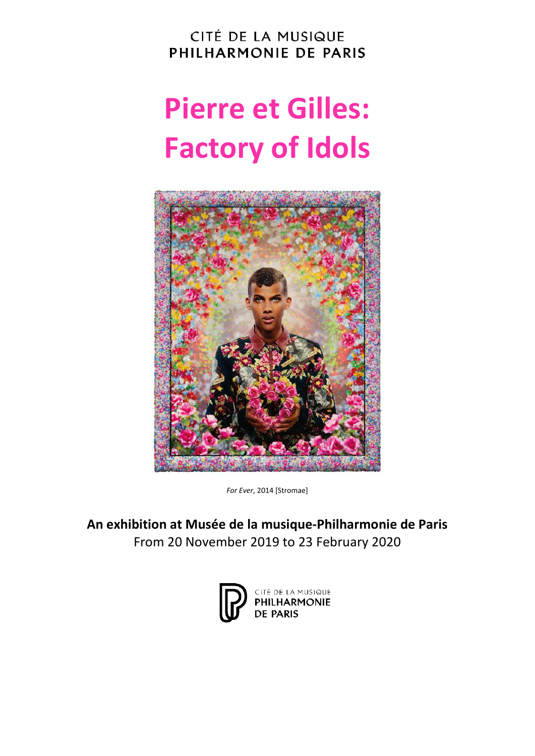CITÉ DE LA MUSIQUE PHILHARMONIE DE PARIS

# **Pierre et Gilles: Factory of Idols**



*For Ever*, 2014 [Stromae]

**An exhibition at Musée de la musique-Philharmonie de Paris** From 20 November 2019 to 23 February 2020

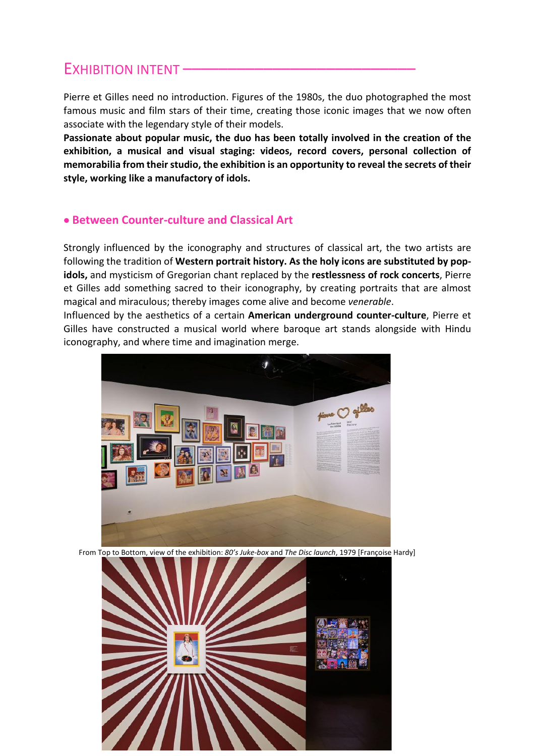# EXHIBITION INTENT

Pierre et Gilles need no introduction. Figures of the 1980s, the duo photographed the most famous music and film stars of their time, creating those iconic images that we now often associate with the legendary style of their models.

**Passionate about popular music, the duo has been totally involved in the creation of the exhibition, a musical and visual staging: videos, record covers, personal collection of memorabilia from their studio, the exhibition is an opportunity to reveal the secrets of their style, working like a manufactory of idols.** 

## • **Between Counter-culture and Classical Art**

Strongly influenced by the iconography and structures of classical art, the two artists are following the tradition of **Western portrait history. As the holy icons are substituted by popidols,** and mysticism of Gregorian chant replaced by the **restlessness of rock concerts**, Pierre et Gilles add something sacred to their iconography, by creating portraits that are almost magical and miraculous; thereby images come alive and become *venerable*.

Influenced by the aesthetics of a certain **American underground counter-culture**, Pierre et Gilles have constructed a musical world where baroque art stands alongside with Hindu iconography, and where time and imagination merge.



From Top to Bottom, view of the exhibition: *80's Juke-box* and *The Disc launch*, 1979 [Françoise Hardy]

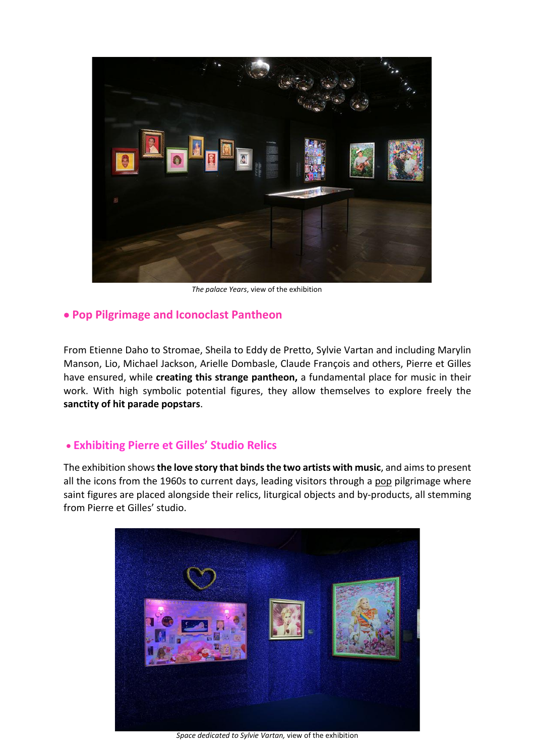

*The palace Years*, view of the exhibition

## • **Pop Pilgrimage and Iconoclast Pantheon**

From Etienne Daho to Stromae, Sheila to Eddy de Pretto, Sylvie Vartan and including Marylin Manson, Lio, Michael Jackson, Arielle Dombasle, Claude François and others, Pierre et Gilles have ensured, while **creating this strange pantheon,** a fundamental place for music in their work. With high symbolic potential figures, they allow themselves to explore freely the **sanctity of hit parade popstars**.

## • **Exhibiting Pierre et Gilles' Studio Relics**

The exhibition shows**the love story that binds the two artists with music**, and aims to present all the icons from the 1960s to current days, leading visitors through a pop pilgrimage where saint figures are placed alongside their relics, liturgical objects and by-products, all stemming from Pierre et Gilles' studio.



*Space dedicated to Sylvie Vartan,* view of the exhibition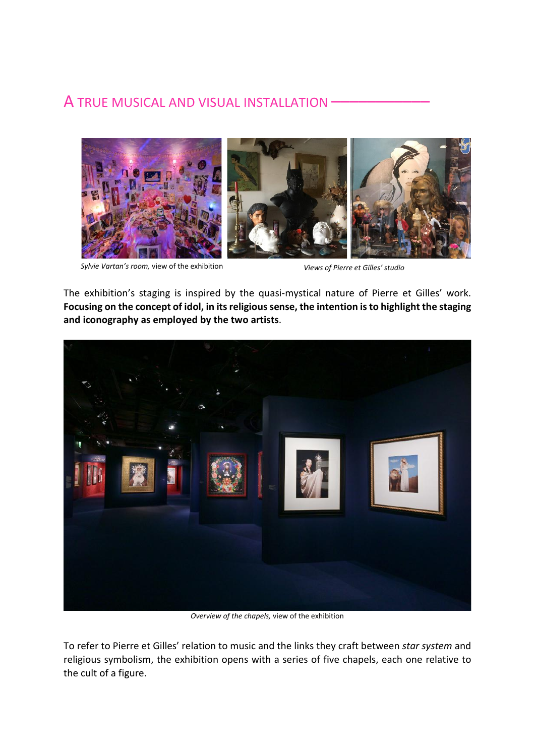# A TRUE MUSICAL AND VISUAL INSTALLATION –––––––––––



*Sylvie Vartan's room,* view of the exhibition

*Views of Pierre et Gilles' studio*

The exhibition's staging is inspired by the quasi-mystical nature of Pierre et Gilles' work. **Focusing on the concept of idol, in its religious sense, the intention is to highlight the staging and iconography as employed by the two artists**.



*Overview of the chapels,* view of the exhibition

To refer to Pierre et Gilles' relation to music and the links they craft between *star system* and religious symbolism, the exhibition opens with a series of five chapels, each one relative to the cult of a figure.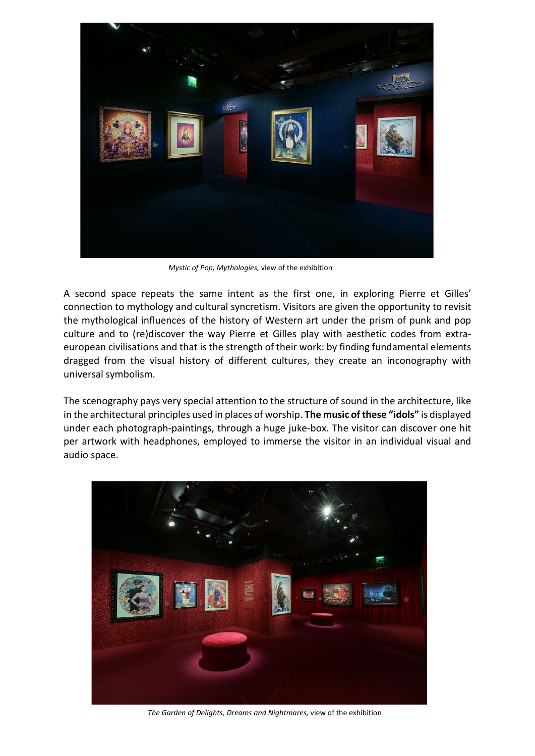

*Mystic of Pop, Mythologies,* view of the exhibition

A second space repeats the same intent as the first one, in exploring Pierre et Gilles' connection to mythology and cultural syncretism. Visitors are given the opportunity to revisit the mythological influences of the history of Western art under the prism of punk and pop culture and to (re)discover the way Pierre et Gilles play with aesthetic codes from extraeuropean civilisations and that is the strength of their work: by finding fundamental elements dragged from the visual history of different cultures, they create an inconography with universal symbolism.

The scenography pays very special attention to the structure of sound in the architecture, like in the architectural principles used in places of worship. **The music of these "idols"** is displayed under each photograph-paintings, through a huge juke-box. The visitor can discover one hit per artwork with headphones, employed to immerse the visitor in an individual visual and audio space.



*The Garden of Delights, Dreams and Nightmares,* view of the exhibition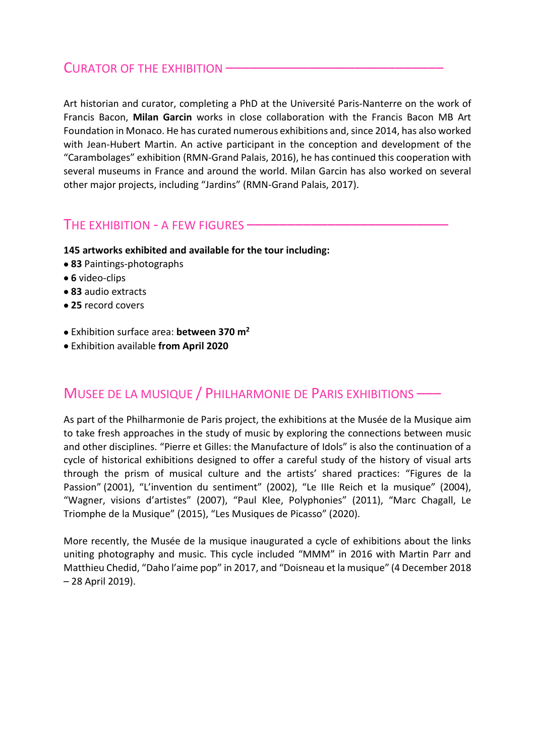## CURATOR OF THE EXHIBITION –

Art historian and curator, completing a PhD at the Université Paris-Nanterre on the work of Francis Bacon, **Milan Garcin** works in close collaboration with the Francis Bacon MB Art Foundation in Monaco. He has curated numerous exhibitions and, since 2014, has also worked with Jean-Hubert Martin. An active participant in the conception and development of the "Carambolages" exhibition (RMN-Grand Palais, 2016), he has continued this cooperation with several museums in France and around the world. Milan Garcin has also worked on several other major projects, including "Jardins" (RMN-Grand Palais, 2017).

## THE EXHIBITION - A FEW FIGURES –

- **145 artworks exhibited and available for the tour including:**
- **83** Paintings-photographs
- **6** video-clips
- **83** audio extracts
- **25** record covers
- Exhibition surface area: **between 370 m2**
- Exhibition available **from April 2020**

# MUSEE DE LA MUSIQUE / PHILHARMONIE DE PARIS EXHIBITIONS –––

As part of the Philharmonie de Paris project, the exhibitions at the Musée de la Musique aim to take fresh approaches in the study of music by exploring the connections between music and other disciplines. "Pierre et Gilles: the Manufacture of Idols" is also the continuation of a cycle of historical exhibitions designed to offer a careful study of the history of visual arts through the prism of musical culture and the artists' shared practices: "Figures de la Passion" (2001), "L'invention du sentiment" (2002), "Le IIIe Reich et la musique" (2004), "Wagner, visions d'artistes" (2007), "Paul Klee, Polyphonies" (2011), "Marc Chagall, Le Triomphe de la Musique" (2015), "Les Musiques de Picasso" (2020).

More recently, the Musée de la musique inaugurated a cycle of exhibitions about the links uniting photography and music. This cycle included "MMM" in 2016 with Martin Parr and Matthieu Chedid, "Daho l'aime pop" in 2017, and "Doisneau et la musique" (4 December 2018 – 28 April 2019).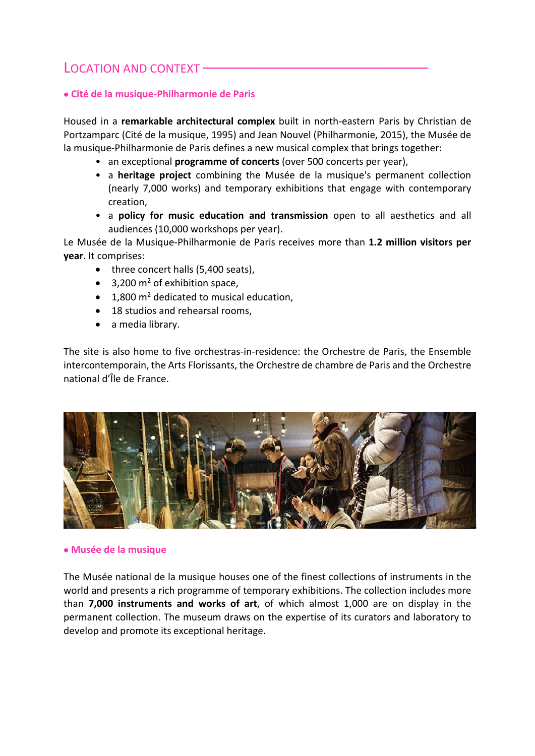# LOCATION AND CONTEXT -

#### • **Cité de la musique-Philharmonie de Paris**

Housed in a **remarkable architectural complex** built in north-eastern Paris by Christian de Portzamparc (Cité de la musique, 1995) and Jean Nouvel (Philharmonie, 2015), the Musée de la musique-Philharmonie de Paris defines a new musical complex that brings together:

- an exceptional **programme of concerts** (over 500 concerts per year),
- a **heritage project** combining the Musée de la musique's permanent collection (nearly 7,000 works) and temporary exhibitions that engage with contemporary creation,
- a **policy for music education and transmission** open to all aesthetics and all audiences (10,000 workshops per year).

Le Musée de la Musique-Philharmonie de Paris receives more than **1.2 million visitors per year**. It comprises:

- three concert halls (5,400 seats),
- 3,200  $m^2$  of exhibition space,
- $\bullet$  1.800 m<sup>2</sup> dedicated to musical education.
- 18 studios and rehearsal rooms,
- a media library.

The site is also home to five orchestras-in-residence: the Orchestre de Paris, the Ensemble intercontemporain, the Arts Florissants, the Orchestre de chambre de Paris and the Orchestre national d'Île de France.



#### • **Musée de la musique**

The Musée national de la musique houses one of the finest collections of instruments in the world and presents a rich programme of temporary exhibitions. The collection includes more than **7,000 instruments and works of art**, of which almost 1,000 are on display in the permanent collection. The museum draws on the expertise of its curators and laboratory to develop and promote its exceptional heritage.